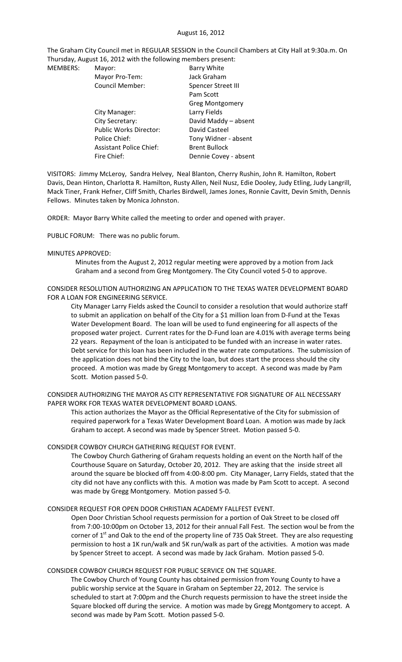#### August 16, 2012

The Graham City Council met in REGULAR SESSION in the Council Chambers at City Hall at 9:30a.m. On Thursday, August 16, 2012 with the following members present:

| <b>MEMBERS:</b> | Mayor:                         | <b>Barry White</b>    |
|-----------------|--------------------------------|-----------------------|
|                 | Mayor Pro-Tem:                 | Jack Graham           |
|                 | <b>Council Member:</b>         | Spencer Street III    |
|                 |                                | Pam Scott             |
|                 |                                | Greg Montgomery       |
|                 | City Manager:                  | Larry Fields          |
|                 | City Secretary:                | David Maddy - absent  |
|                 | <b>Public Works Director:</b>  | David Casteel         |
|                 | Police Chief:                  | Tony Widner - absent  |
|                 | <b>Assistant Police Chief:</b> | <b>Brent Bullock</b>  |
|                 | Fire Chief:                    | Dennie Covey - absent |

VISITORS: Jimmy McLeroy, Sandra Helvey, Neal Blanton, Cherry Rushin, John R. Hamilton, Robert Davis, Dean Hinton, Charlotta R. Hamilton, Rusty Allen, Neil Nusz, Edie Dooley, Judy Etling, Judy Langrill, Mack Tiner, Frank Hefner, Cliff Smith, Charles Birdwell, James Jones, Ronnie Cavitt, Devin Smith, Dennis Fellows. Minutes taken by Monica Johnston.

ORDER: Mayor Barry White called the meeting to order and opened with prayer.

PUBLIC FORUM: There was no public forum.

#### MINUTES APPROVED:

Minutes from the August 2, 2012 regular meeting were approved by a motion from Jack Graham and a second from Greg Montgomery. The City Council voted 5‐0 to approve.

CONSIDER RESOLUTION AUTHORIZING AN APPLICATION TO THE TEXAS WATER DEVELOPMENT BOARD FOR A LOAN FOR ENGINEERING SERVICE.

City Manager Larry Fields asked the Council to consider a resolution that would authorize staff to submit an application on behalf of the City for a \$1 million loan from D-Fund at the Texas Water Development Board. The loan will be used to fund engineering for all aspects of the proposed water project. Current rates for the D‐Fund loan are 4.01% with average terms being 22 years. Repayment of the loan is anticipated to be funded with an increase in water rates. Debt service for this loan has been included in the water rate computations. The submission of the application does not bind the City to the loan, but does start the process should the city proceed. A motion was made by Gregg Montgomery to accept. A second was made by Pam Scott. Motion passed 5‐0.

CONSIDER AUTHORIZING THE MAYOR AS CITY REPRESENTATIVE FOR SIGNATURE OF ALL NECESSARY PAPER WORK FOR TEXAS WATER DEVELOPMENT BOARD LOANS.

This action authorizes the Mayor as the Official Representative of the City for submission of required paperwork for a Texas Water Development Board Loan. A motion was made by Jack Graham to accept. A second was made by Spencer Street. Motion passed 5‐0.

### CONSIDER COWBOY CHURCH GATHERING REQUEST FOR EVENT.

The Cowboy Church Gathering of Graham requests holding an event on the North half of the Courthouse Square on Saturday, October 20, 2012. They are asking that the inside street all around the square be blocked off from 4:00‐8:00 pm. City Manager, Larry Fields, stated that the city did not have any conflicts with this. A motion was made by Pam Scott to accept. A second was made by Gregg Montgomery. Motion passed 5‐0.

### CONSIDER REQUEST FOR OPEN DOOR CHRISTIAN ACADEMY FALLFEST EVENT.

Open Door Christian School requests permission for a portion of Oak Street to be closed off from 7:00‐10:00pm on October 13, 2012 for their annual Fall Fest. The section woul be from the corner of  $1^{st}$  and Oak to the end of the property line of 735 Oak Street. They are also requesting permission to host a 1K run/walk and 5K run/walk as part of the activities. A motion was made by Spencer Street to accept. A second was made by Jack Graham. Motion passed 5‐0.

# CONSIDER COWBOY CHURCH REQUEST FOR PUBLIC SERVICE ON THE SQUARE.

The Cowboy Church of Young County has obtained permission from Young County to have a public worship service at the Square in Graham on September 22, 2012. The service is scheduled to start at 7:00pm and the Church requests permission to have the street inside the Square blocked off during the service. A motion was made by Gregg Montgomery to accept. A second was made by Pam Scott. Motion passed 5‐0.